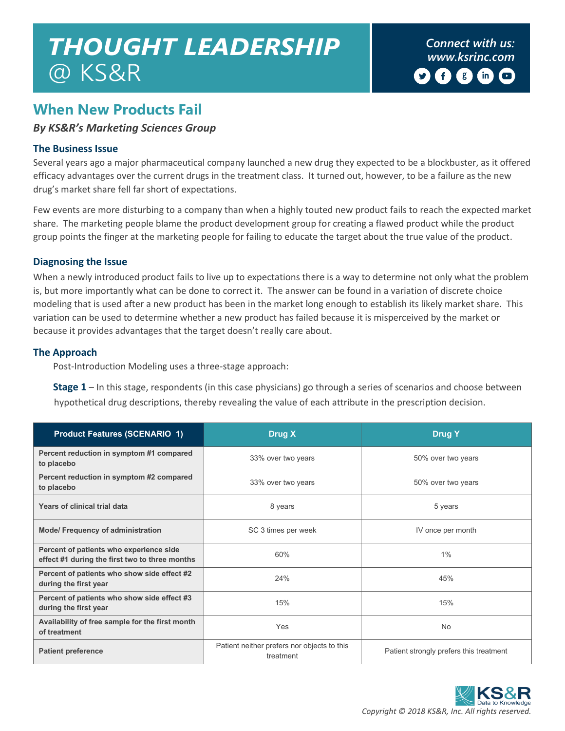# *Connect with us: THOUGHT LEADERSHIP [www.ksrinc.com](http://www.ksrinc.com/)* @ KS&R

# **When New Products Fail**

# *By KS&R's Marketing Sciences Group*

# **The Business Issue**

Several years ago a major pharmaceutical company launched a new drug they expected to be a blockbuster, as it offered efficacy advantages over the current drugs in the treatment class. It turned out, however, to be a failure as the new drug's market share fell far short of expectations.

Few events are more disturbing to a company than when a highly touted new product fails to reach the expected market share. The marketing people blame the product development group for creating a flawed product while the product group points the finger at the marketing people for failing to educate the target about the true value of the product.

# **Diagnosing the Issue**

When a newly introduced product fails to live up to expectations there is a way to determine not only what the problem is, but more importantly what can be done to correct it. The answer can be found in a variation of discrete choice modeling that is used after a new product has been in the market long enough to establish its likely market share. This variation can be used to determine whether a new product has failed because it is misperceived by the market or because it provides advantages that the target doesn't really care about.

# **The Approach**

Post-Introduction Modeling uses a three-stage approach:

**Stage 1** – In this stage, respondents (in this case physicians) go through a series of scenarios and choose between hypothetical drug descriptions, thereby revealing the value of each attribute in the prescription decision.

| <b>Product Features (SCENARIO 1)</b>                                                      | Drug X                                                   | <b>Drug Y</b>                           |  |  |
|-------------------------------------------------------------------------------------------|----------------------------------------------------------|-----------------------------------------|--|--|
| Percent reduction in symptom #1 compared<br>to placebo                                    | 33% over two years                                       | 50% over two years                      |  |  |
| Percent reduction in symptom #2 compared<br>to placebo                                    | 33% over two years                                       | 50% over two years                      |  |  |
| Years of clinical trial data                                                              | 8 years                                                  | 5 years                                 |  |  |
| <b>Mode/ Frequency of administration</b>                                                  | SC 3 times per week                                      | IV once per month                       |  |  |
| Percent of patients who experience side<br>effect #1 during the first two to three months | 60%                                                      | 1%                                      |  |  |
| Percent of patients who show side effect #2<br>during the first year                      | 24%                                                      | 45%                                     |  |  |
| Percent of patients who show side effect #3<br>during the first year                      | 15%                                                      | 15%                                     |  |  |
| Availability of free sample for the first month<br>of treatment                           | Yes                                                      | <b>No</b>                               |  |  |
| <b>Patient preference</b>                                                                 | Patient neither prefers nor objects to this<br>treatment | Patient strongly prefers this treatment |  |  |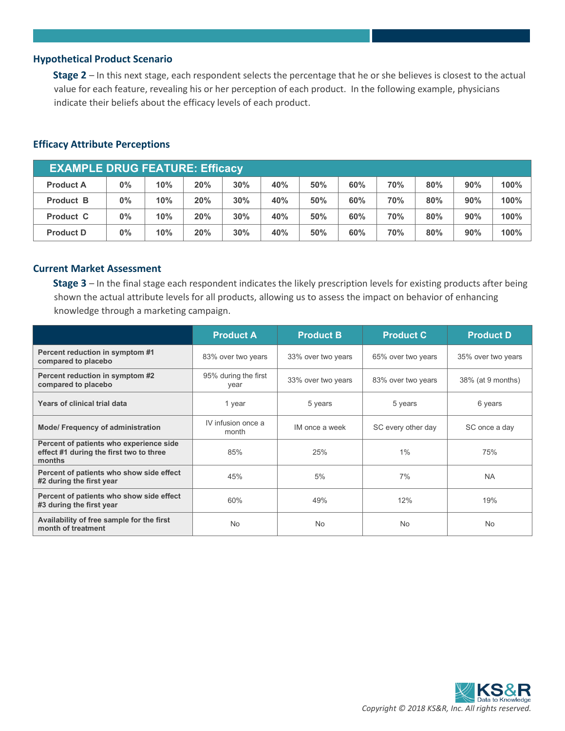#### **Hypothetical Product Scenario**

**Stage 2** – In this next stage, each respondent selects the percentage that he or she believes is closest to the actual value for each feature, revealing his or her perception of each product. In the following example, physicians indicate their beliefs about the efficacy levels of each product.

| <b>EXAMPLE DRUG FEATURE: Efficacy</b> |       |     |     |     |     |     |     |     |     |     |      |
|---------------------------------------|-------|-----|-----|-----|-----|-----|-----|-----|-----|-----|------|
| <b>Product A</b>                      | $0\%$ | 10% | 20% | 30% | 40% | 50% | 60% | 70% | 80% | 90% | 100% |
| <b>Product B</b>                      | $0\%$ | 10% | 20% | 30% | 40% | 50% | 60% | 70% | 80% | 90% | 100% |
| <b>Product C</b>                      | $0\%$ | 10% | 20% | 30% | 40% | 50% | 60% | 70% | 80% | 90% | 100% |
| <b>Product D</b>                      | $0\%$ | 10% | 20% | 30% | 40% | 50% | 60% | 70% | 80% | 90% | 100% |

#### **Efficacy Attribute Perceptions**

#### **Current Market Assessment**

**Stage 3** – In the final stage each respondent indicates the likely prescription levels for existing products after being shown the actual attribute levels for all products, allowing us to assess the impact on behavior of enhancing knowledge through a marketing campaign.

|                                                                                              | <b>Product A</b>             | <b>Product B</b>                     | <b>Product C</b>   | <b>Product D</b>   |  |
|----------------------------------------------------------------------------------------------|------------------------------|--------------------------------------|--------------------|--------------------|--|
| Percent reduction in symptom #1<br>compared to placebo                                       | 83% over two years           | 33% over two years                   | 65% over two years | 35% over two years |  |
| Percent reduction in symptom #2<br>compared to placebo                                       | 95% during the first<br>year | 33% over two years                   | 83% over two years | 38% (at 9 months)  |  |
| Years of clinical trial data                                                                 | 1 year                       | 5 years                              | 5 years            | 6 years            |  |
| <b>Mode/ Frequency of administration</b>                                                     | IV infusion once a<br>month  | IM once a week<br>SC every other day |                    | SC once a day      |  |
| Percent of patients who experience side<br>effect #1 during the first two to three<br>months | 85%                          | 25%                                  | 1%                 | 75%                |  |
| Percent of patients who show side effect<br>#2 during the first year                         | 45%                          | 5%                                   | 7%                 | <b>NA</b>          |  |
| Percent of patients who show side effect<br>#3 during the first year                         | 60%                          | 49%                                  | 12%                | 19%                |  |
| Availability of free sample for the first<br>month of treatment                              | No                           | <b>No</b>                            | No                 | No.                |  |

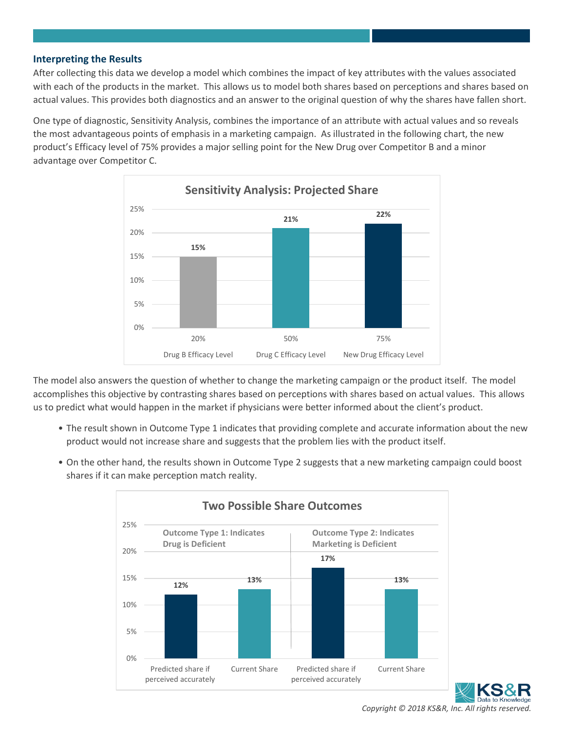## **Interpreting the Results**

After collecting this data we develop a model which combines the impact of key attributes with the values associated with each of the products in the market. This allows us to model both shares based on perceptions and shares based on actual values. This provides both diagnostics and an answer to the original question of why the shares have fallen short.

One type of diagnostic, Sensitivity Analysis, combines the importance of an attribute with actual values and so reveals the most advantageous points of emphasis in a marketing campaign. As illustrated in the following chart, the new product's Efficacy level of 75% provides a major selling point for the New Drug over Competitor B and a minor advantage over Competitor C.



The model also answers the question of whether to change the marketing campaign or the product itself. The model accomplishes this objective by contrasting shares based on perceptions with shares based on actual values. This allows us to predict what would happen in the market if physicians were better informed about the client's product.

- The result shown in Outcome Type 1 indicates that providing complete and accurate information about the new product would not increase share and suggests that the problem lies with the product itself.
- On the other hand, the results shown in Outcome Type 2 suggests that a new marketing campaign could boost shares if it can make perception match reality.





*Copyright © 2018 KS&R, Inc. All rights reserved.*